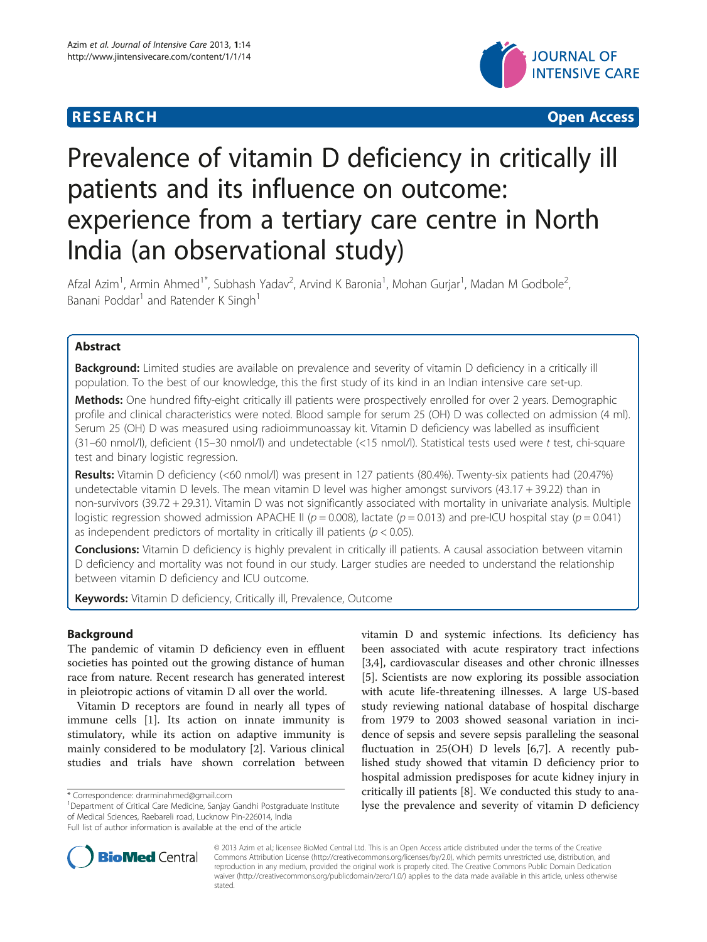



# Prevalence of vitamin D deficiency in critically ill patients and its influence on outcome: experience from a tertiary care centre in North India (an observational study)

Afzal Azim<sup>1</sup>, Armin Ahmed<sup>1\*</sup>, Subhash Yadav<sup>2</sup>, Arvind K Baronia<sup>1</sup>, Mohan Gurjar<sup>1</sup>, Madan M Godbole<sup>2</sup> , Banani Poddar<sup>1</sup> and Ratender K Singh<sup>1</sup>

# Abstract

Background: Limited studies are available on prevalence and severity of vitamin D deficiency in a critically ill population. To the best of our knowledge, this the first study of its kind in an Indian intensive care set-up.

Methods: One hundred fifty-eight critically ill patients were prospectively enrolled for over 2 years. Demographic profile and clinical characteristics were noted. Blood sample for serum 25 (OH) D was collected on admission (4 ml). Serum 25 (OH) D was measured using radioimmunoassay kit. Vitamin D deficiency was labelled as insufficient (31–60 nmol/l), deficient (15–30 nmol/l) and undetectable (<15 nmol/l). Statistical tests used were t test, chi-square test and binary logistic regression.

Results: Vitamin D deficiency (<60 nmol/l) was present in 127 patients (80.4%). Twenty-six patients had (20.47%) undetectable vitamin D levels. The mean vitamin D level was higher amongst survivors (43.17 + 39.22) than in non-survivors (39.72 + 29.31). Vitamin D was not significantly associated with mortality in univariate analysis. Multiple logistic regression showed admission APACHE II ( $p = 0.008$ ), lactate ( $p = 0.013$ ) and pre-ICU hospital stay ( $p = 0.041$ ) as independent predictors of mortality in critically ill patients ( $p < 0.05$ ).

**Conclusions:** Vitamin D deficiency is highly prevalent in critically ill patients. A causal association between vitamin D deficiency and mortality was not found in our study. Larger studies are needed to understand the relationship between vitamin D deficiency and ICU outcome.

Keywords: Vitamin D deficiency, Critically ill, Prevalence, Outcome

# Background

The pandemic of vitamin D deficiency even in effluent societies has pointed out the growing distance of human race from nature. Recent research has generated interest in pleiotropic actions of vitamin D all over the world.

Vitamin D receptors are found in nearly all types of immune cells [\[1](#page-3-0)]. Its action on innate immunity is stimulatory, while its action on adaptive immunity is mainly considered to be modulatory [[2\]](#page-3-0). Various clinical studies and trials have shown correlation between

<sup>1</sup>Department of Critical Care Medicine, Sanjay Gandhi Postgraduate Institute of Medical Sciences, Raebareli road, Lucknow Pin-226014, India Full list of author information is available at the end of the article

vitamin D and systemic infections. Its deficiency has been associated with acute respiratory tract infections [[3,4\]](#page-3-0), cardiovascular diseases and other chronic illnesses [[5\]](#page-3-0). Scientists are now exploring its possible association with acute life-threatening illnesses. A large US-based study reviewing national database of hospital discharge from 1979 to 2003 showed seasonal variation in incidence of sepsis and severe sepsis paralleling the seasonal fluctuation in  $25(OH)$  D levels [\[6,7\]](#page-3-0). A recently published study showed that vitamin D deficiency prior to hospital admission predisposes for acute kidney injury in critically ill patients [\[8](#page-3-0)]. We conducted this study to analyse the prevalence and severity of vitamin D deficiency



© 2013 Azim et al.; licensee BioMed Central Ltd. This is an Open Access article distributed under the terms of the Creative Commons Attribution License [\(http://creativecommons.org/licenses/by/2.0\)](http://creativecommons.org/licenses/by/2.0), which permits unrestricted use, distribution, and reproduction in any medium, provided the original work is properly cited. The Creative Commons Public Domain Dedication waiver [\(http://creativecommons.org/publicdomain/zero/1.0/\)](http://creativecommons.org/publicdomain/zero/1.0/) applies to the data made available in this article, unless otherwise stated.

<sup>\*</sup> Correspondence: [drarminahmed@gmail.com](mailto:drarminahmed@gmail.com) <sup>1</sup>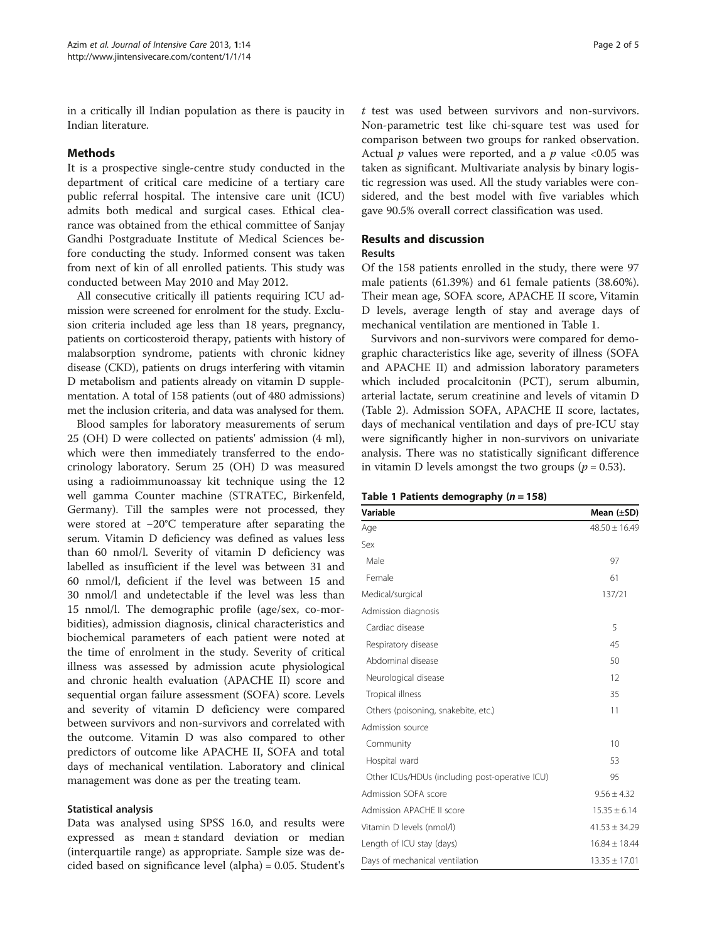in a critically ill Indian population as there is paucity in Indian literature.

### Methods

It is a prospective single-centre study conducted in the department of critical care medicine of a tertiary care public referral hospital. The intensive care unit (ICU) admits both medical and surgical cases. Ethical clearance was obtained from the ethical committee of Sanjay Gandhi Postgraduate Institute of Medical Sciences before conducting the study. Informed consent was taken from next of kin of all enrolled patients. This study was conducted between May 2010 and May 2012.

All consecutive critically ill patients requiring ICU admission were screened for enrolment for the study. Exclusion criteria included age less than 18 years, pregnancy, patients on corticosteroid therapy, patients with history of malabsorption syndrome, patients with chronic kidney disease (CKD), patients on drugs interfering with vitamin D metabolism and patients already on vitamin D supplementation. A total of 158 patients (out of 480 admissions) met the inclusion criteria, and data was analysed for them.

Blood samples for laboratory measurements of serum 25 (OH) D were collected on patients' admission (4 ml), which were then immediately transferred to the endocrinology laboratory. Serum 25 (OH) D was measured using a radioimmunoassay kit technique using the 12 well gamma Counter machine (STRATEC, Birkenfeld, Germany). Till the samples were not processed, they were stored at −20°C temperature after separating the serum. Vitamin D deficiency was defined as values less than 60 nmol/l. Severity of vitamin D deficiency was labelled as insufficient if the level was between 31 and 60 nmol/l, deficient if the level was between 15 and 30 nmol/l and undetectable if the level was less than 15 nmol/l. The demographic profile (age/sex, co-morbidities), admission diagnosis, clinical characteristics and biochemical parameters of each patient were noted at the time of enrolment in the study. Severity of critical illness was assessed by admission acute physiological and chronic health evaluation (APACHE II) score and sequential organ failure assessment (SOFA) score. Levels and severity of vitamin D deficiency were compared between survivors and non-survivors and correlated with the outcome. Vitamin D was also compared to other predictors of outcome like APACHE II, SOFA and total days of mechanical ventilation. Laboratory and clinical management was done as per the treating team.

#### Statistical analysis

Data was analysed using SPSS 16.0, and results were expressed as mean ± standard deviation or median (interquartile range) as appropriate. Sample size was decided based on significance level (alpha) = 0.05. Student's

t test was used between survivors and non-survivors. Non-parametric test like chi-square test was used for comparison between two groups for ranked observation. Actual  $p$  values were reported, and a  $p$  value <0.05 was taken as significant. Multivariate analysis by binary logistic regression was used. All the study variables were considered, and the best model with five variables which gave 90.5% overall correct classification was used.

# Results and discussion

#### Results

Of the 158 patients enrolled in the study, there were 97 male patients (61.39%) and 61 female patients (38.60%). Their mean age, SOFA score, APACHE II score, Vitamin D levels, average length of stay and average days of mechanical ventilation are mentioned in Table 1.

Survivors and non-survivors were compared for demographic characteristics like age, severity of illness (SOFA and APACHE II) and admission laboratory parameters which included procalcitonin (PCT), serum albumin, arterial lactate, serum creatinine and levels of vitamin D (Table [2\)](#page-2-0). Admission SOFA, APACHE II score, lactates, days of mechanical ventilation and days of pre-ICU stay were significantly higher in non-survivors on univariate analysis. There was no statistically significant difference in vitamin D levels amongst the two groups ( $p = 0.53$ ).

|  |  | Table 1 Patients demography $(n = 158)$ |  |
|--|--|-----------------------------------------|--|
|--|--|-----------------------------------------|--|

| Variable                                       | Mean $(\pm SD)$   |  |
|------------------------------------------------|-------------------|--|
| Age                                            | $48.50 \pm 16.49$ |  |
| Sex                                            |                   |  |
| Male                                           | 97                |  |
| Female                                         | 61                |  |
| Medical/surgical                               | 137/21            |  |
| Admission diagnosis                            |                   |  |
| Cardiac disease                                | 5                 |  |
| Respiratory disease                            | 45                |  |
| Abdominal disease                              | 50                |  |
| Neurological disease                           | 12                |  |
| Tropical illness                               | 35                |  |
| Others (poisoning, snakebite, etc.)            | 11                |  |
| Admission source                               |                   |  |
| Community                                      | 10                |  |
| Hospital ward                                  | 53                |  |
| Other ICUs/HDUs (including post-operative ICU) | 95                |  |
| Admission SOFA score                           | $9.56 \pm 4.32$   |  |
| Admission APACHE II score                      | $15.35 \pm 6.14$  |  |
| Vitamin D levels (nmol/l)                      | $41.53 \pm 34.29$ |  |
| Length of ICU stay (days)                      | $16.84 \pm 18.44$ |  |
| Days of mechanical ventilation                 | $13.35 \pm 17.01$ |  |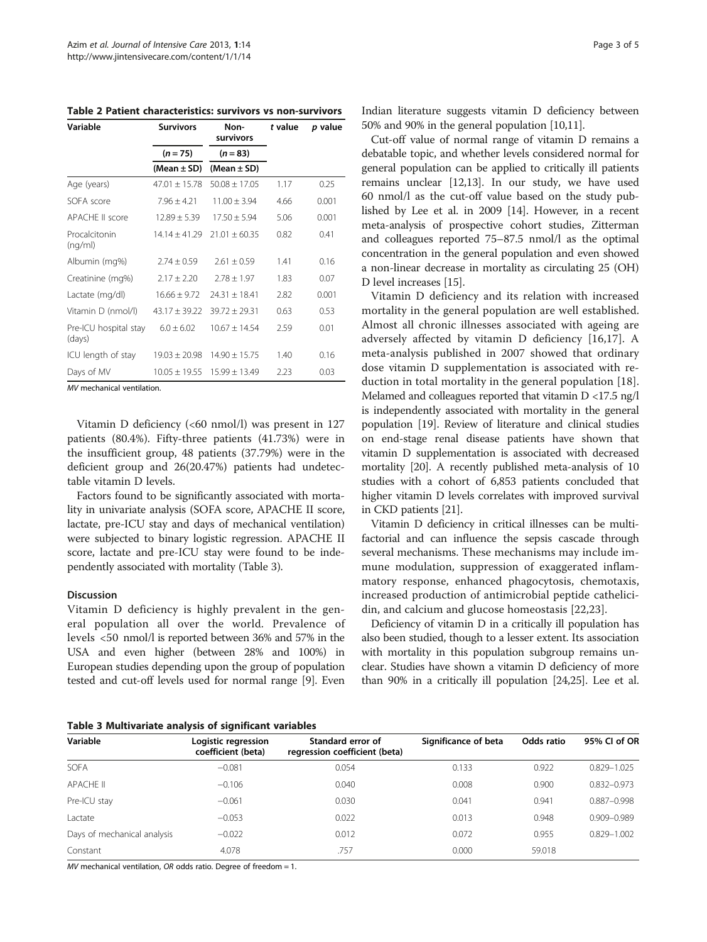<span id="page-2-0"></span>Table 2 Patient characteristics: survivors vs non-survivors

| Variable                        | <b>Survivors</b>  | Non-<br>survivors | t value | p value |  |
|---------------------------------|-------------------|-------------------|---------|---------|--|
|                                 | $(n = 75)$        | $(n = 83)$        |         |         |  |
|                                 | (Mean $\pm$ SD)   | (Mean $\pm$ SD)   |         |         |  |
| Age (years)                     | $47.01 \pm 15.78$ | $50.08 \pm 17.05$ | 1.17    | 0.25    |  |
| SOFA score                      | $7.96 \pm 4.21$   | $11.00 \pm 3.94$  | 4.66    | 0.001   |  |
| <b>APACHE II score</b>          | $12.89 \pm 5.39$  | $17.50 \pm 5.94$  | 5.06    | 0.001   |  |
| Procalcitonin<br>(nq/ml)        | $14.14 \pm 41.29$ | $21.01 + 60.35$   | 0.82    | 0.41    |  |
| Albumin (mg%)                   | $2.74 \pm 0.59$   | $2.61 + 0.59$     | 1.41    | 0.16    |  |
| Creatinine (mg%)                | $2.17 \pm 2.20$   | $2.78 + 1.97$     | 1.83    | 0.07    |  |
| Lactate (mg/dl)                 | $16.66 \pm 9.72$  | $74.31 + 18.41$   | 2.82    | 0.001   |  |
| Vitamin D (nmol/l)              | $43.17 \pm 39.22$ | $39.72 \pm 29.31$ | 0.63    | 0.53    |  |
| Pre-ICU hospital stay<br>(days) | $6.0 + 6.02$      | $10.67 \pm 14.54$ | 2.59    | 0.01    |  |
| ICU length of stay              | $19.03 \pm 20.98$ | $14.90 \pm 15.75$ | 1.40    | 0.16    |  |
| Days of MV                      | $10.05 \pm 19.55$ | $15.99 \pm 13.49$ | 2.23    | 0.03    |  |
| MI mochanical ventilation       |                   |                   |         |         |  |

MV mechanical ventilation.

Vitamin D deficiency (<60 nmol/l) was present in 127 patients (80.4%). Fifty-three patients (41.73%) were in the insufficient group, 48 patients (37.79%) were in the deficient group and 26(20.47%) patients had undetectable vitamin D levels.

Factors found to be significantly associated with mortality in univariate analysis (SOFA score, APACHE II score, lactate, pre-ICU stay and days of mechanical ventilation) were subjected to binary logistic regression. APACHE II score, lactate and pre-ICU stay were found to be independently associated with mortality (Table 3).

#### Discussion

Vitamin D deficiency is highly prevalent in the general population all over the world. Prevalence of levels <50 nmol/l is reported between 36% and 57% in the USA and even higher (between 28% and 100%) in European studies depending upon the group of population tested and cut-off levels used for normal range [\[9](#page-3-0)]. Even

Table 3 Multivariate analysis of significant variables

Indian literature suggests vitamin D deficiency between 50% and 90% in the general population [\[10,11\]](#page-3-0).

Cut-off value of normal range of vitamin D remains a debatable topic, and whether levels considered normal for general population can be applied to critically ill patients remains unclear [\[12,13\]](#page-3-0). In our study, we have used 60 nmol/l as the cut-off value based on the study published by Lee et al. in 2009 [[14](#page-3-0)]. However, in a recent meta-analysis of prospective cohort studies, Zitterman and colleagues reported 75–87.5 nmol/l as the optimal concentration in the general population and even showed a non-linear decrease in mortality as circulating 25 (OH) D level increases [\[15\]](#page-3-0).

Vitamin D deficiency and its relation with increased mortality in the general population are well established. Almost all chronic illnesses associated with ageing are adversely affected by vitamin D deficiency [[16,17](#page-3-0)]. A meta-analysis published in 2007 showed that ordinary dose vitamin D supplementation is associated with reduction in total mortality in the general population [\[18](#page-3-0)]. Melamed and colleagues reported that vitamin D <17.5 ng/l is independently associated with mortality in the general population [\[19\]](#page-3-0). Review of literature and clinical studies on end-stage renal disease patients have shown that vitamin D supplementation is associated with decreased mortality [[20](#page-3-0)]. A recently published meta-analysis of 10 studies with a cohort of 6,853 patients concluded that higher vitamin D levels correlates with improved survival in CKD patients [\[21\]](#page-3-0).

Vitamin D deficiency in critical illnesses can be multifactorial and can influence the sepsis cascade through several mechanisms. These mechanisms may include immune modulation, suppression of exaggerated inflammatory response, enhanced phagocytosis, chemotaxis, increased production of antimicrobial peptide cathelicidin, and calcium and glucose homeostasis [\[22](#page-3-0)[,23](#page-4-0)].

Deficiency of vitamin D in a critically ill population has also been studied, though to a lesser extent. Its association with mortality in this population subgroup remains unclear. Studies have shown a vitamin D deficiency of more than 90% in a critically ill population [[24,25](#page-4-0)]. Lee et al.

| Variable                    | Logistic regression<br>coefficient (beta) | Standard error of<br>regression coefficient (beta) | Significance of beta | Odds ratio | 95% CI of OR    |
|-----------------------------|-------------------------------------------|----------------------------------------------------|----------------------|------------|-----------------|
| <b>SOFA</b>                 | $-0.081$                                  | 0.054                                              | 0.133                | 0.922      | $0.829 - 1.025$ |
| <b>APACHE II</b>            | $-0.106$                                  | 0.040                                              | 0.008                | 0.900      | $0.832 - 0.973$ |
| Pre-ICU stay                | $-0.061$                                  | 0.030                                              | 0.041                | 0.941      | $0.887 - 0.998$ |
| Lactate                     | $-0.053$                                  | 0.022                                              | 0.013                | 0.948      | $0.909 - 0.989$ |
| Days of mechanical analysis | $-0.022$                                  | 0.012                                              | 0.072                | 0.955      | $0.829 - 1.002$ |
| Constant                    | 4.078                                     | .757                                               | 0.000                | 59.018     |                 |

MV mechanical ventilation, OR odds ratio. Degree of freedom = 1.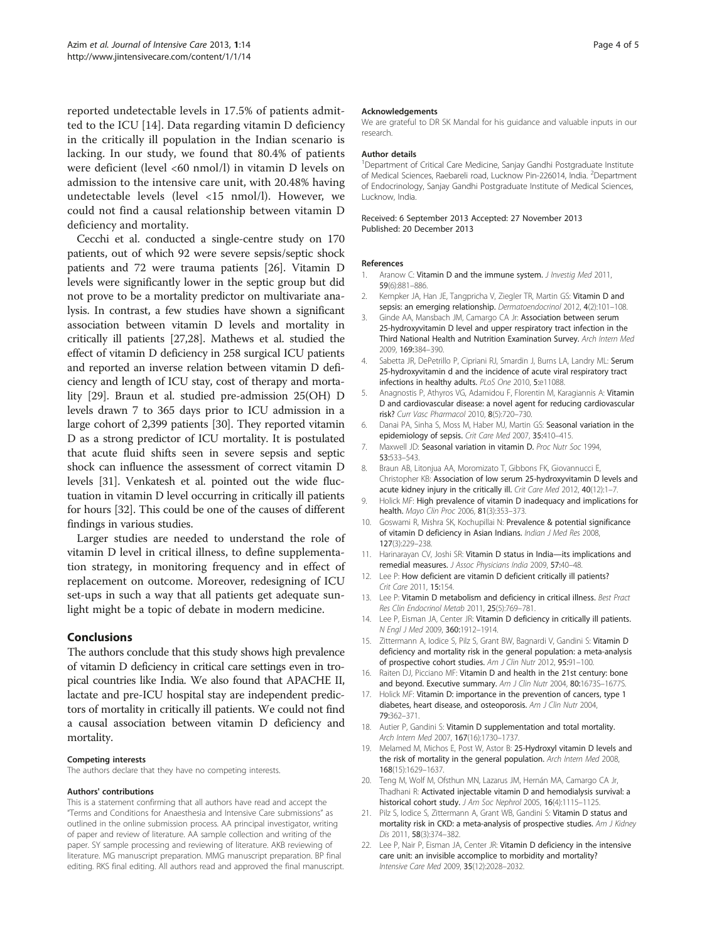<span id="page-3-0"></span>reported undetectable levels in 17.5% of patients admitted to the ICU [14]. Data regarding vitamin D deficiency in the critically ill population in the Indian scenario is lacking. In our study, we found that 80.4% of patients were deficient (level <60 nmol/l) in vitamin D levels on admission to the intensive care unit, with 20.48% having undetectable levels (level <15 nmol/l). However, we could not find a causal relationship between vitamin D deficiency and mortality.

Cecchi et al. conducted a single-centre study on 170 patients, out of which 92 were severe sepsis/septic shock patients and 72 were trauma patients [[26\]](#page-4-0). Vitamin D levels were significantly lower in the septic group but did not prove to be a mortality predictor on multivariate analysis. In contrast, a few studies have shown a significant association between vitamin D levels and mortality in critically ill patients [\[27,28\]](#page-4-0). Mathews et al. studied the effect of vitamin D deficiency in 258 surgical ICU patients and reported an inverse relation between vitamin D deficiency and length of ICU stay, cost of therapy and mortality [\[29\]](#page-4-0). Braun et al. studied pre-admission 25(OH) D levels drawn 7 to 365 days prior to ICU admission in a large cohort of 2,399 patients [[30](#page-4-0)]. They reported vitamin D as a strong predictor of ICU mortality. It is postulated that acute fluid shifts seen in severe sepsis and septic shock can influence the assessment of correct vitamin D levels [\[31\]](#page-4-0). Venkatesh et al. pointed out the wide fluctuation in vitamin D level occurring in critically ill patients for hours [\[32](#page-4-0)]. This could be one of the causes of different findings in various studies.

Larger studies are needed to understand the role of vitamin D level in critical illness, to define supplementation strategy, in monitoring frequency and in effect of replacement on outcome. Moreover, redesigning of ICU set-ups in such a way that all patients get adequate sunlight might be a topic of debate in modern medicine.

# Conclusions

The authors conclude that this study shows high prevalence of vitamin D deficiency in critical care settings even in tropical countries like India. We also found that APACHE II, lactate and pre-ICU hospital stay are independent predictors of mortality in critically ill patients. We could not find a causal association between vitamin D deficiency and mortality.

#### Competing interests

The authors declare that they have no competing interests.

#### Authors' contributions

This is a statement confirming that all authors have read and accept the "Terms and Conditions for Anaesthesia and Intensive Care submissions" as outlined in the online submission process. AA principal investigator, writing of paper and review of literature. AA sample collection and writing of the paper. SY sample processing and reviewing of literature. AKB reviewing of literature. MG manuscript preparation. MMG manuscript preparation. BP final editing. RKS final editing. All authors read and approved the final manuscript.

#### Acknowledgements

We are grateful to DR SK Mandal for his guidance and valuable inputs in our research.

#### Author details

<sup>1</sup>Department of Critical Care Medicine, Sanjay Gandhi Postgraduate Institute of Medical Sciences, Raebareli road, Lucknow Pin-226014, India. <sup>2</sup>Department of Endocrinology, Sanjay Gandhi Postgraduate Institute of Medical Sciences, Lucknow, India.

Received: 6 September 2013 Accepted: 27 November 2013 Published: 20 December 2013

#### References

- 1. Aranow C: Vitamin D and the immune system. J Investig Med 2011, 59(6):881–886.
- 2. Kempker JA, Han JE, Tangpricha V, Ziegler TR, Martin GS: Vitamin D and sepsis: an emerging relationship. Dermatoendocrinol 2012, 4(2):101-108.
- 3. Ginde AA, Mansbach JM, Camargo CA Jr: Association between serum 25-hydroxyvitamin D level and upper respiratory tract infection in the Third National Health and Nutrition Examination Survey. Arch Intern Med 2009, 169:384–390.
- 4. Sabetta JR, DePetrillo P, Cipriani RJ, Smardin J, Burns LA, Landry ML: Serum 25-hydroxyvitamin d and the incidence of acute viral respiratory tract infections in healthy adults. PLoS One 2010, 5:e11088.
- 5. Anagnostis P, Athyros VG, Adamidou F, Florentin M, Karagiannis A: Vitamin D and cardiovascular disease: a novel agent for reducing cardiovascular risk? Curr Vasc Pharmacol 2010, 8(5):720–730.
- 6. Danai PA, Sinha S, Moss M, Haber MJ, Martin GS: Seasonal variation in the epidemiology of sepsis. Crit Care Med 2007, 35:410–415.
- 7. Maxwell JD: Seasonal variation in vitamin D. Proc Nutr Soc 1994, 53:533–543.
- 8. Braun AB, Litonjua AA, Moromizato T, Gibbons FK, Giovannucci E, Christopher KB: Association of low serum 25-hydroxyvitamin D levels and acute kidney injury in the critically ill. Crit Care Med 2012, 40(12):1-7
- 9. Holick MF: High prevalence of vitamin D inadequacy and implications for health. Mayo Clin Proc 2006, 81(3):353–373.
- 10. Goswami R, Mishra SK, Kochupillai N: Prevalence & potential significance of vitamin D deficiency in Asian Indians. Indian J Med Res 2008, 127(3):229–238.
- 11. Harinarayan CV, Joshi SR: Vitamin D status in India-its implications and remedial measures. J Assoc Physicians India 2009, 57:40–48.
- 12. Lee P: How deficient are vitamin D deficient critically ill patients? Crit Care 2011, 15:154.
- 13. Lee P: Vitamin D metabolism and deficiency in critical illness. Best Pract Res Clin Endocrinol Metab 2011, 25(5):769–781.
- 14. Lee P, Eisman JA, Center JR: Vitamin D deficiency in critically ill patients. N Engl J Med 2009, 360:1912–1914.
- 15. Zittermann A, Iodice S, Pilz S, Grant BW, Bagnardi V, Gandini S: Vitamin D deficiency and mortality risk in the general population: a meta-analysis of prospective cohort studies. Am J Clin Nutr 2012, 95:91-100.
- 16. Raiten DJ, Picciano MF: Vitamin D and health in the 21st century: bone and beyond. Executive summary. Am J Clin Nutr 2004, 80:16735-1677S.
- 17. Holick MF: Vitamin D: importance in the prevention of cancers, type 1 diabetes, heart disease, and osteoporosis. Am J Clin Nutr 2004, 79:362–371.
- 18. Autier P, Gandini S: Vitamin D supplementation and total mortality. Arch Intern Med 2007, 167(16):1730–1737.
- 19. Melamed M, Michos E, Post W, Astor B: 25-Hydroxyl vitamin D levels and the risk of mortality in the general population. Arch Intern Med 2008, 168(15):1629–1637.
- 20. Teng M, Wolf M, Ofsthun MN, Lazarus JM, Hernán MA, Camargo CA Jr, Thadhani R: Activated injectable vitamin D and hemodialysis survival: a historical cohort study. J Am Soc Nephrol 2005, 16(4):1115–1125.
- 21. Pilz S, Iodice S, Zittermann A, Grant WB, Gandini S: Vitamin D status and mortality risk in CKD: a meta-analysis of prospective studies. Am J Kidney Dis 2011, 58(3):374–382.
- 22. Lee P, Nair P, Eisman JA, Center JR: Vitamin D deficiency in the intensive care unit: an invisible accomplice to morbidity and mortality? Intensive Care Med 2009, 35(12):2028–2032.